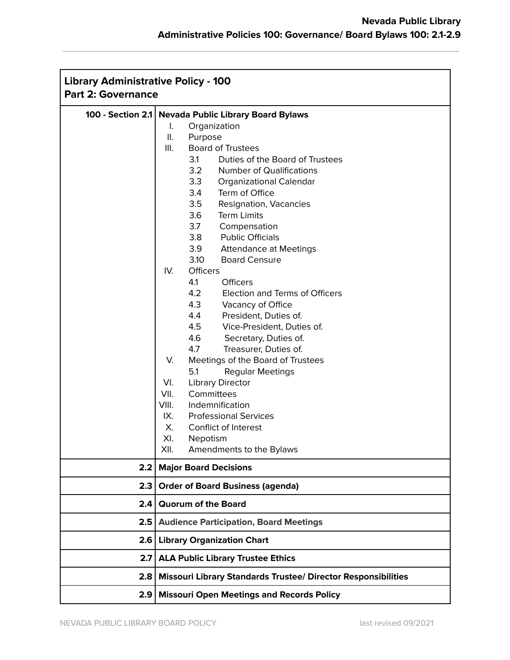| <b>Library Administrative Policy - 100</b><br><b>Part 2: Governance</b> |                                                                      |
|-------------------------------------------------------------------------|----------------------------------------------------------------------|
| 100 - Section 2.1                                                       | <b>Nevada Public Library Board Bylaws</b>                            |
|                                                                         | Organization<br>I.                                                   |
|                                                                         | ΙΙ.<br>Purpose                                                       |
|                                                                         | III.<br><b>Board of Trustees</b>                                     |
|                                                                         | 3.1<br>Duties of the Board of Trustees                               |
|                                                                         | 3.2<br><b>Number of Qualifications</b>                               |
|                                                                         | 3.3<br><b>Organizational Calendar</b>                                |
|                                                                         | 3.4<br>Term of Office                                                |
|                                                                         | 3.5<br>Resignation, Vacancies                                        |
|                                                                         | <b>Term Limits</b><br>3.6                                            |
|                                                                         | 3.7<br>Compensation                                                  |
|                                                                         | 3.8<br><b>Public Officials</b>                                       |
|                                                                         | 3.9 Attendance at Meetings                                           |
|                                                                         | 3.10<br><b>Board Censure</b>                                         |
|                                                                         | IV.<br><b>Officers</b>                                               |
|                                                                         | 4.1<br><b>Officers</b>                                               |
|                                                                         | 4.2<br>Election and Terms of Officers                                |
|                                                                         | 4.3<br>Vacancy of Office                                             |
|                                                                         | 4.4<br>President, Duties of.                                         |
|                                                                         | 4.5<br>Vice-President, Duties of.                                    |
|                                                                         | 4.6<br>Secretary, Duties of.                                         |
|                                                                         | 4.7<br>Treasurer, Duties of.                                         |
|                                                                         | V.<br>Meetings of the Board of Trustees                              |
|                                                                         | 5.1<br><b>Regular Meetings</b>                                       |
|                                                                         | VI.<br><b>Library Director</b>                                       |
|                                                                         | Committees<br>VII.                                                   |
|                                                                         | VIII.<br>Indemnification                                             |
|                                                                         | IX.<br><b>Professional Services</b>                                  |
|                                                                         | Х.<br>Conflict of Interest                                           |
|                                                                         | XI.<br>Nepotism                                                      |
|                                                                         | XII.<br>Amendments to the Bylaws                                     |
|                                                                         |                                                                      |
| 2.2                                                                     | <b>Major Board Decisions</b>                                         |
| 2.3                                                                     | <b>Order of Board Business (agenda)</b>                              |
| 2.4                                                                     | <b>Quorum of the Board</b>                                           |
| 2.5                                                                     | <b>Audience Participation, Board Meetings</b>                        |
| 2.6                                                                     | <b>Library Organization Chart</b>                                    |
| 2.7                                                                     | <b>ALA Public Library Trustee Ethics</b>                             |
| 2.8                                                                     | <b>Missouri Library Standards Trustee/ Director Responsibilities</b> |
| 2.9                                                                     | <b>Missouri Open Meetings and Records Policy</b>                     |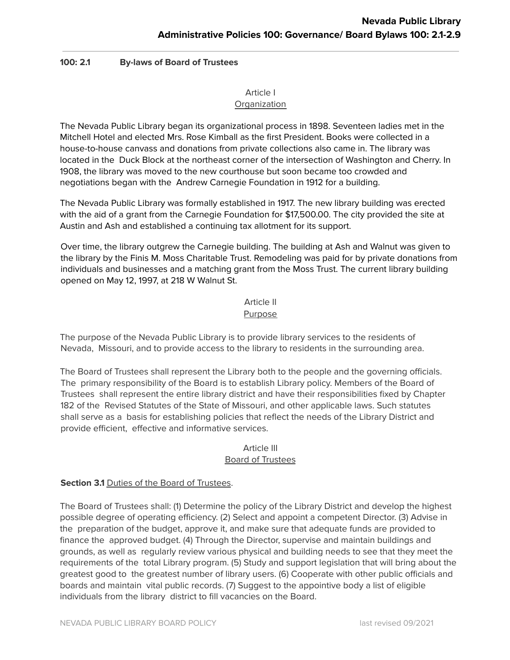# **100: 2.1 By-laws of Board of Trustees**

#### Article I **Organization**

The Nevada Public Library began its organizational process in 1898. Seventeen ladies met in the Mitchell Hotel and elected Mrs. Rose Kimball as the first President. Books were collected in a house-to-house canvass and donations from private collections also came in. The library was located in the Duck Block at the northeast corner of the intersection of Washington and Cherry. In 1908, the library was moved to the new courthouse but soon became too crowded and negotiations began with the Andrew Carnegie Foundation in 1912 for a building.

The Nevada Public Library was formally established in 1917. The new library building was erected with the aid of a grant from the Carnegie Foundation for \$17,500.00. The city provided the site at Austin and Ash and established a continuing tax allotment for its support.

Over time, the library outgrew the Carnegie building. The building at Ash and Walnut was given to the library by the Finis M. Moss Charitable Trust. Remodeling was paid for by private donations from individuals and businesses and a matching grant from the Moss Trust. The current library building opened on May 12, 1997, at 218 W Walnut St.

# Article II

#### Purpose

The purpose of the Nevada Public Library is to provide library services to the residents of Nevada, Missouri, and to provide access to the library to residents in the surrounding area.

The Board of Trustees shall represent the Library both to the people and the governing officials. The primary responsibility of the Board is to establish Library policy. Members of the Board of Trustees shall represent the entire library district and have their responsibilities fixed by Chapter 182 of the Revised Statutes of the State of Missouri, and other applicable laws. Such statutes shall serve as a basis for establishing policies that reflect the needs of the Library District and provide efficient, effective and informative services.

#### Article III Board of Trustees

# **Section 3.1** Duties of the Board of Trustees.

The Board of Trustees shall: (1) Determine the policy of the Library District and develop the highest possible degree of operating efficiency. (2) Select and appoint a competent Director. (3) Advise in the preparation of the budget, approve it, and make sure that adequate funds are provided to finance the approved budget. (4) Through the Director, supervise and maintain buildings and grounds, as well as regularly review various physical and building needs to see that they meet the requirements of the total Library program. (5) Study and support legislation that will bring about the greatest good to the greatest number of library users. (6) Cooperate with other public officials and boards and maintain vital public records. (7) Suggest to the appointive body a list of eligible individuals from the library district to fill vacancies on the Board.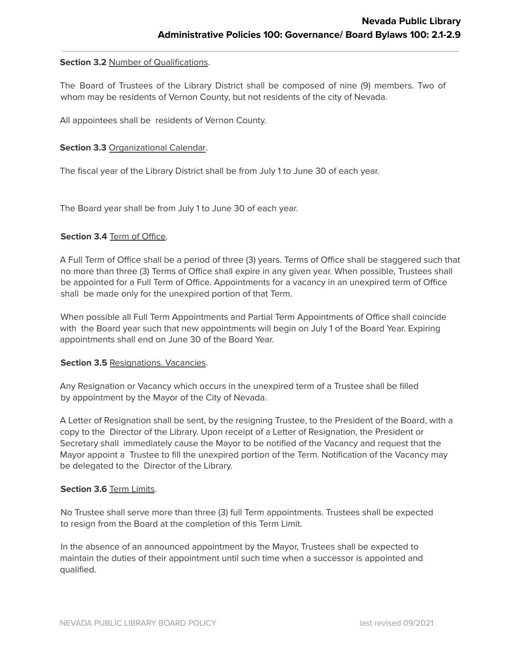#### **Section 3.2** Number of Qualifications.

The Board of Trustees of the Library District shall be composed of nine (9) members. Two of whom may be residents of Vernon County, but not residents of the city of Nevada.

All appointees shall be residents of Vernon County.

#### **Section 3.3** Organizational Calendar.

The fiscal year of the Library District shall be from July 1 to June 30 of each year.

The Board year shall be from July 1 to June 30 of each year.

#### **Section 3.4** Term of Office.

A Full Term of Office shall be a period of three (3) years. Terms of Office shall be staggered such that no more than three (3) Terms of Office shall expire in any given year. When possible, Trustees shall be appointed for a Full Term of Office. Appointments for a vacancy in an unexpired term of Office shall be made only for the unexpired portion of that Term.

When possible all Full Term Appointments and Partial Term Appointments of Office shall coincide with the Board year such that new appointments will begin on July 1 of the Board Year. Expiring appointments shall end on June 30 of the Board Year.

#### **Section 3.5** Resignations. Vacancies.

Any Resignation or Vacancy which occurs in the unexpired term of a Trustee shall be filled by appointment by the Mayor of the City of Nevada.

A Letter of Resignation shall be sent, by the resigning Trustee, to the President of the Board, with a copy to the Director of the Library. Upon receipt of a Letter of Resignation, the President or Secretary shall immediately cause the Mayor to be notified of the Vacancy and request that the Mayor appoint a Trustee to fill the unexpired portion of the Term. Notification of the Vacancy may be delegated to the Director of the Library.

#### **Section 3.6** Term Limits.

No Trustee shall serve more than three (3) full Term appointments. Trustees shall be expected to resign from the Board at the completion of this Term Limit.

In the absence of an announced appointment by the Mayor, Trustees shall be expected to maintain the duties of their appointment until such time when a successor is appointed and qualified.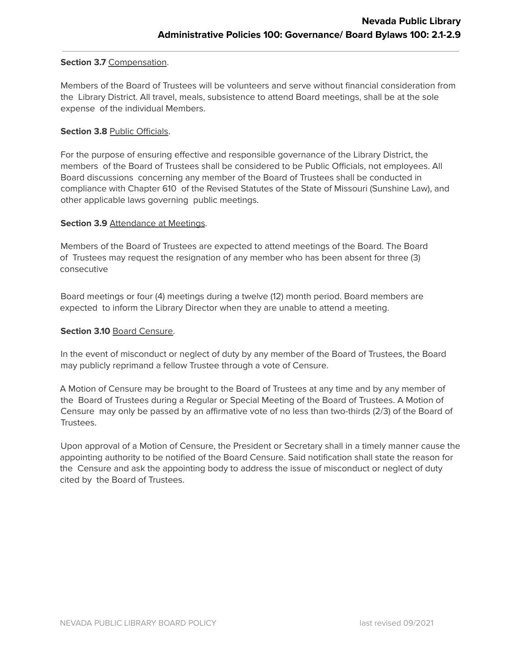#### **Section 3.7** Compensation.

Members of the Board of Trustees will be volunteers and serve without financial consideration from the Library District. All travel, meals, subsistence to attend Board meetings, shall be at the sole expense of the individual Members.

#### **Section 3.8** Public Officials.

For the purpose of ensuring effective and responsible governance of the Library District, the members of the Board of Trustees shall be considered to be Public Officials, not employees. All Board discussions concerning any member of the Board of Trustees shall be conducted in compliance with Chapter 610 of the Revised Statutes of the State of Missouri (Sunshine Law), and other applicable laws governing public meetings.

#### **Section 3.9** Attendance at Meetings.

Members of the Board of Trustees are expected to attend meetings of the Board. The Board of Trustees may request the resignation of any member who has been absent for three (3) consecutive

Board meetings or four (4) meetings during a twelve (12) month period. Board members are expected to inform the Library Director when they are unable to attend a meeting.

#### **Section 3.10** Board Censure.

In the event of misconduct or neglect of duty by any member of the Board of Trustees, the Board may publicly reprimand a fellow Trustee through a vote of Censure.

A Motion of Censure may be brought to the Board of Trustees at any time and by any member of the Board of Trustees during a Regular or Special Meeting of the Board of Trustees. A Motion of Censure may only be passed by an affirmative vote of no less than two-thirds (2/3) of the Board of Trustees.

Upon approval of a Motion of Censure, the President or Secretary shall in a timely manner cause the appointing authority to be notified of the Board Censure. Said notification shall state the reason for the Censure and ask the appointing body to address the issue of misconduct or neglect of duty cited by the Board of Trustees.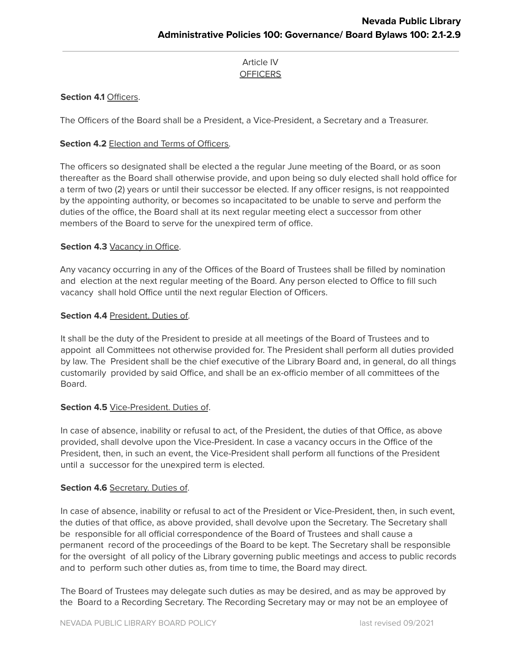# Article IV **OFFICERS**

# **Section 4.1** Officers.

The Officers of the Board shall be a President, a Vice-President, a Secretary and a Treasurer.

# **Section 4.2** Election and Terms of Officers.

The officers so designated shall be elected a the regular June meeting of the Board, or as soon thereafter as the Board shall otherwise provide, and upon being so duly elected shall hold office for a term of two (2) years or until their successor be elected. If any officer resigns, is not reappointed by the appointing authority, or becomes so incapacitated to be unable to serve and perform the duties of the office, the Board shall at its next regular meeting elect a successor from other members of the Board to serve for the unexpired term of office.

# **Section 4.3** Vacancy in Office.

Any vacancy occurring in any of the Offices of the Board of Trustees shall be filled by nomination and election at the next regular meeting of the Board. Any person elected to Office to fill such vacancy shall hold Office until the next regular Election of Officers.

# **Section 4.4** President. Duties of.

It shall be the duty of the President to preside at all meetings of the Board of Trustees and to appoint all Committees not otherwise provided for. The President shall perform all duties provided by law. The President shall be the chief executive of the Library Board and, in general, do all things customarily provided by said Office, and shall be an ex-officio member of all committees of the Board.

# **Section 4.5** Vice-President. Duties of.

In case of absence, inability or refusal to act, of the President, the duties of that Office, as above provided, shall devolve upon the Vice-President. In case a vacancy occurs in the Office of the President, then, in such an event, the Vice-President shall perform all functions of the President until a successor for the unexpired term is elected.

# **Section 4.6** Secretary. Duties of.

In case of absence, inability or refusal to act of the President or Vice-President, then, in such event, the duties of that office, as above provided, shall devolve upon the Secretary. The Secretary shall be responsible for all official correspondence of the Board of Trustees and shall cause a permanent record of the proceedings of the Board to be kept. The Secretary shall be responsible for the oversight of all policy of the Library governing public meetings and access to public records and to perform such other duties as, from time to time, the Board may direct.

The Board of Trustees may delegate such duties as may be desired, and as may be approved by the Board to a Recording Secretary. The Recording Secretary may or may not be an employee of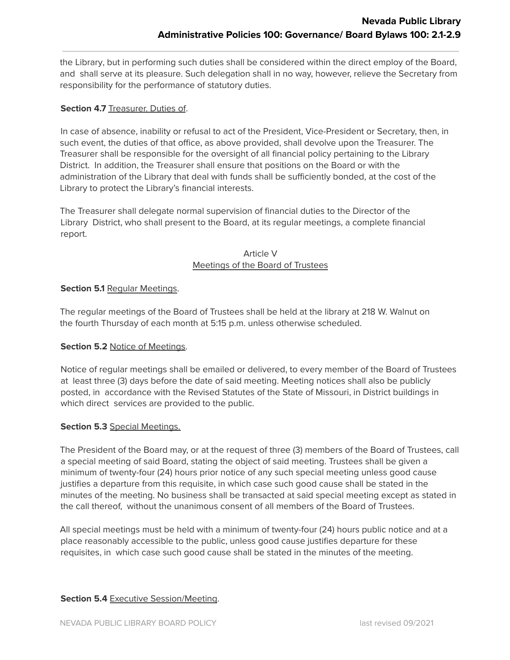the Library, but in performing such duties shall be considered within the direct employ of the Board, and shall serve at its pleasure. Such delegation shall in no way, however, relieve the Secretary from responsibility for the performance of statutory duties.

# **Section 4.7** Treasurer. Duties of.

In case of absence, inability or refusal to act of the President, Vice-President or Secretary, then, in such event, the duties of that office, as above provided, shall devolve upon the Treasurer. The Treasurer shall be responsible for the oversight of all financial policy pertaining to the Library District. In addition, the Treasurer shall ensure that positions on the Board or with the administration of the Library that deal with funds shall be sufficiently bonded, at the cost of the Library to protect the Library's financial interests.

The Treasurer shall delegate normal supervision of financial duties to the Director of the Library District, who shall present to the Board, at its regular meetings, a complete financial report.

# Article V Meetings of the Board of Trustees

# **Section 5.1** Regular Meetings.

The regular meetings of the Board of Trustees shall be held at the library at 218 W. Walnut on the fourth Thursday of each month at 5:15 p.m. unless otherwise scheduled.

# **Section 5.2** Notice of Meetings.

Notice of regular meetings shall be emailed or delivered, to every member of the Board of Trustees at least three (3) days before the date of said meeting. Meeting notices shall also be publicly posted, in accordance with the Revised Statutes of the State of Missouri, in District buildings in which direct services are provided to the public.

# **Section 5.3** Special Meetings.

The President of the Board may, or at the request of three (3) members of the Board of Trustees, call a special meeting of said Board, stating the object of said meeting. Trustees shall be given a minimum of twenty-four (24) hours prior notice of any such special meeting unless good cause justifies a departure from this requisite, in which case such good cause shall be stated in the minutes of the meeting. No business shall be transacted at said special meeting except as stated in the call thereof, without the unanimous consent of all members of the Board of Trustees.

All special meetings must be held with a minimum of twenty-four (24) hours public notice and at a place reasonably accessible to the public, unless good cause justifies departure for these requisites, in which case such good cause shall be stated in the minutes of the meeting.

# **Section 5.4** Executive Session/Meeting.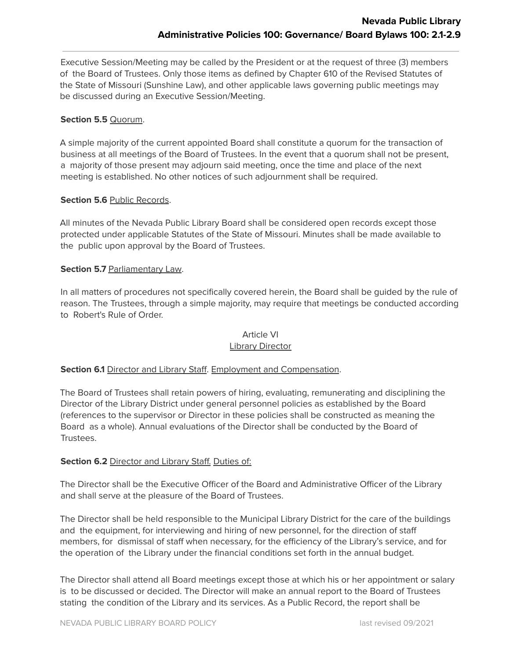Executive Session/Meeting may be called by the President or at the request of three (3) members of the Board of Trustees. Only those items as defined by Chapter 610 of the Revised Statutes of the State of Missouri (Sunshine Law), and other applicable laws governing public meetings may be discussed during an Executive Session/Meeting.

# **Section 5.5** Quorum.

A simple majority of the current appointed Board shall constitute a quorum for the transaction of business at all meetings of the Board of Trustees. In the event that a quorum shall not be present, a majority of those present may adjourn said meeting, once the time and place of the next meeting is established. No other notices of such adjournment shall be required.

#### **Section 5.6** Public Records.

All minutes of the Nevada Public Library Board shall be considered open records except those protected under applicable Statutes of the State of Missouri. Minutes shall be made available to the public upon approval by the Board of Trustees.

#### **Section 5.7** Parliamentary Law.

In all matters of procedures not specifically covered herein, the Board shall be guided by the rule of reason. The Trustees, through a simple majority, may require that meetings be conducted according to Robert's Rule of Order.

# Article VI

# Library Director

#### **Section 6.1** Director and Library Staff. Employment and Compensation.

The Board of Trustees shall retain powers of hiring, evaluating, remunerating and disciplining the Director of the Library District under general personnel policies as established by the Board (references to the supervisor or Director in these policies shall be constructed as meaning the Board as a whole). Annual evaluations of the Director shall be conducted by the Board of Trustees.

#### **Section 6.2** Director and Library Staff. Duties of:

The Director shall be the Executive Officer of the Board and Administrative Officer of the Library and shall serve at the pleasure of the Board of Trustees.

The Director shall be held responsible to the Municipal Library District for the care of the buildings and the equipment, for interviewing and hiring of new personnel, for the direction of staff members, for dismissal of staff when necessary, for the efficiency of the Library's service, and for the operation of the Library under the financial conditions set forth in the annual budget.

The Director shall attend all Board meetings except those at which his or her appointment or salary is to be discussed or decided. The Director will make an annual report to the Board of Trustees stating the condition of the Library and its services. As a Public Record, the report shall be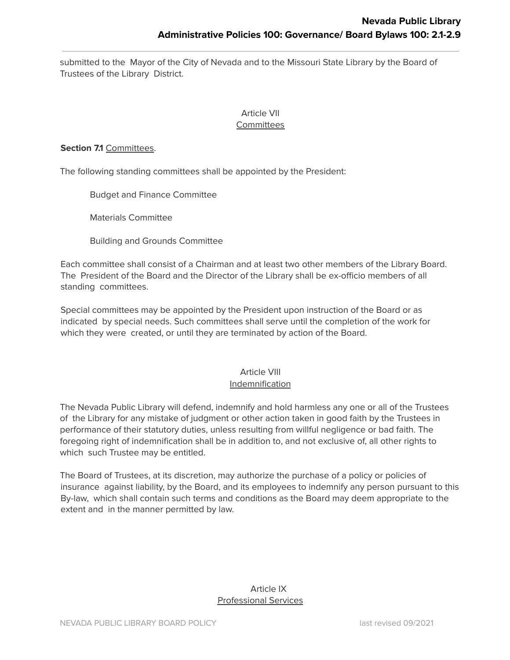submitted to the Mayor of the City of Nevada and to the Missouri State Library by the Board of Trustees of the Library District.

#### Article VII **Committees**

#### **Section 7.1** Committees.

The following standing committees shall be appointed by the President:

Budget and Finance Committee

Materials Committee

Building and Grounds Committee

Each committee shall consist of a Chairman and at least two other members of the Library Board. The President of the Board and the Director of the Library shall be ex-officio members of all standing committees.

Special committees may be appointed by the President upon instruction of the Board or as indicated by special needs. Such committees shall serve until the completion of the work for which they were created, or until they are terminated by action of the Board.

# Article VIII Indemnification

The Nevada Public Library will defend, indemnify and hold harmless any one or all of the Trustees of the Library for any mistake of judgment or other action taken in good faith by the Trustees in performance of their statutory duties, unless resulting from willful negligence or bad faith. The foregoing right of indemnification shall be in addition to, and not exclusive of, all other rights to which such Trustee may be entitled.

The Board of Trustees, at its discretion, may authorize the purchase of a policy or policies of insurance against liability, by the Board, and its employees to indemnify any person pursuant to this By-law, which shall contain such terms and conditions as the Board may deem appropriate to the extent and in the manner permitted by law.

# Article IX Professional Services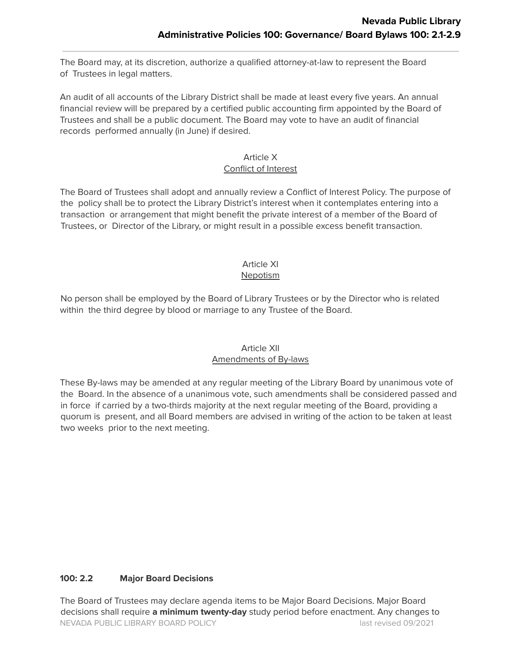The Board may, at its discretion, authorize a qualified attorney-at-law to represent the Board of Trustees in legal matters.

An audit of all accounts of the Library District shall be made at least every five years. An annual financial review will be prepared by a certified public accounting firm appointed by the Board of Trustees and shall be a public document. The Board may vote to have an audit of financial records performed annually (in June) if desired.

#### Article X Conflict of Interest

The Board of Trustees shall adopt and annually review a Conflict of Interest Policy. The purpose of the policy shall be to protect the Library District's interest when it contemplates entering into a transaction or arrangement that might benefit the private interest of a member of the Board of Trustees, or Director of the Library, or might result in a possible excess benefit transaction.

# Article XI

# Nepotism

No person shall be employed by the Board of Library Trustees or by the Director who is related within the third degree by blood or marriage to any Trustee of the Board.

# Article XII Amendments of By-laws

These By-laws may be amended at any regular meeting of the Library Board by unanimous vote of the Board. In the absence of a unanimous vote, such amendments shall be considered passed and in force if carried by a two-thirds majority at the next regular meeting of the Board, providing a quorum is present, and all Board members are advised in writing of the action to be taken at least two weeks prior to the next meeting.

# **100: 2.2 Major Board Decisions**

The Board of Trustees may declare agenda items to be Major Board Decisions. Major Board decisions shall require **a minimum twenty-day** study period before enactment. Any changes to NEVADA PUBLIC LIBRARY BOARD POLICY last revised 09/2021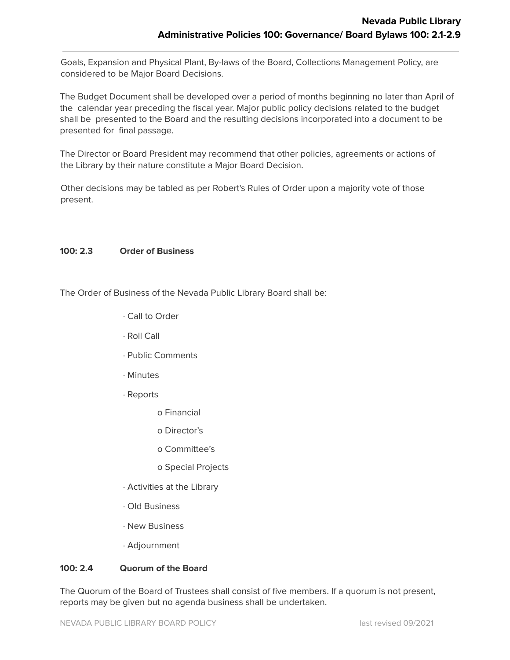Goals, Expansion and Physical Plant, By-laws of the Board, Collections Management Policy, are considered to be Major Board Decisions.

The Budget Document shall be developed over a period of months beginning no later than April of the calendar year preceding the fiscal year. Major public policy decisions related to the budget shall be presented to the Board and the resulting decisions incorporated into a document to be presented for final passage.

The Director or Board President may recommend that other policies, agreements or actions of the Library by their nature constitute a Major Board Decision.

Other decisions may be tabled as per Robert's Rules of Order upon a majority vote of those present.

# **100: 2.3 Order of Business**

The Order of Business of the Nevada Public Library Board shall be:

- ∙ Call to Order
- ∙ Roll Call
- ∙ Public Comments
- ∙ Minutes
- ∙ Reports
	- o Financial
	- o Director's
	- o Committee's
	- o Special Projects
- ∙ Activities at the Library
- ∙ Old Business
- ∙ New Business
- ∙ Adjournment

# **100: 2.4 Quorum of the Board**

The Quorum of the Board of Trustees shall consist of five members. If a quorum is not present, reports may be given but no agenda business shall be undertaken.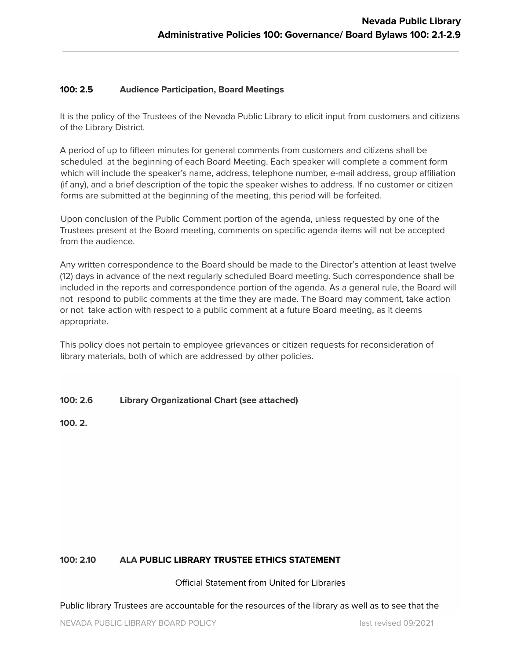#### **100: 2.5 Audience Participation, Board Meetings**

It is the policy of the Trustees of the Nevada Public Library to elicit input from customers and citizens of the Library District.

A period of up to fifteen minutes for general comments from customers and citizens shall be scheduled at the beginning of each Board Meeting. Each speaker will complete a comment form which will include the speaker's name, address, telephone number, e-mail address, group affiliation (if any), and a brief description of the topic the speaker wishes to address. If no customer or citizen forms are submitted at the beginning of the meeting, this period will be forfeited.

Upon conclusion of the Public Comment portion of the agenda, unless requested by one of the Trustees present at the Board meeting, comments on specific agenda items will not be accepted from the audience.

Any written correspondence to the Board should be made to the Director's attention at least twelve (12) days in advance of the next regularly scheduled Board meeting. Such correspondence shall be included in the reports and correspondence portion of the agenda. As a general rule, the Board will not respond to public comments at the time they are made. The Board may comment, take action or not take action with respect to a public comment at a future Board meeting, as it deems appropriate.

This policy does not pertain to employee grievances or citizen requests for reconsideration of library materials, both of which are addressed by other policies.

# **100: 2.6 Library Organizational Chart (see attached)**

**100. 2.**

#### **100: 2.10 ALA PUBLIC LIBRARY TRUSTEE ETHICS STATEMENT**

Official Statement from United for Libraries

Public library Trustees are accountable for the resources of the library as well as to see that the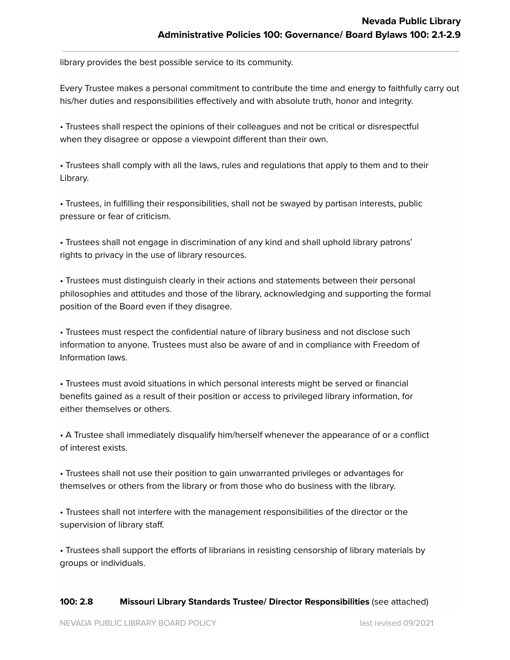library provides the best possible service to its community.

Every Trustee makes a personal commitment to contribute the time and energy to faithfully carry out his/her duties and responsibilities effectively and with absolute truth, honor and integrity.

• Trustees shall respect the opinions of their colleagues and not be critical or disrespectful when they disagree or oppose a viewpoint different than their own.

• Trustees shall comply with all the laws, rules and regulations that apply to them and to their Library.

• Trustees, in fulfilling their responsibilities, shall not be swayed by partisan interests, public pressure or fear of criticism.

• Trustees shall not engage in discrimination of any kind and shall uphold library patrons' rights to privacy in the use of library resources.

• Trustees must distinguish clearly in their actions and statements between their personal philosophies and attitudes and those of the library, acknowledging and supporting the formal position of the Board even if they disagree.

• Trustees must respect the confidential nature of library business and not disclose such information to anyone. Trustees must also be aware of and in compliance with Freedom of Information laws.

• Trustees must avoid situations in which personal interests might be served or financial benefits gained as a result of their position or access to privileged library information, for either themselves or others.

• A Trustee shall immediately disqualify him/herself whenever the appearance of or a conflict of interest exists.

• Trustees shall not use their position to gain unwarranted privileges or advantages for themselves or others from the library or from those who do business with the library.

• Trustees shall not interfere with the management responsibilities of the director or the supervision of library staff.

• Trustees shall support the efforts of librarians in resisting censorship of library materials by groups or individuals.

#### **100: 2.8 Missouri Library Standards Trustee/ Director Responsibilities** (see attached)